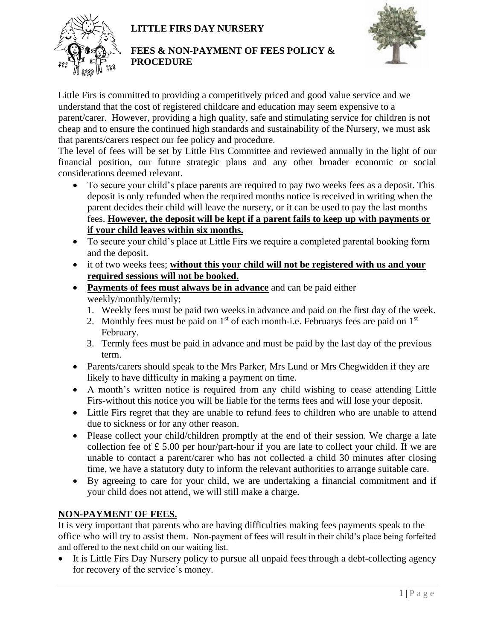# **LITTLE FIRS DAY NURSERY**



#### **FEES & NON-PAYMENT OF FEES POLICY & PROCEDURE**



Little Firs is committed to providing a competitively priced and good value service and we understand that the cost of registered childcare and education may seem expensive to a parent/carer. However, providing a high quality, safe and stimulating service for children is not cheap and to ensure the continued high standards and sustainability of the Nursery, we must ask that parents/carers respect our fee policy and procedure.

The level of fees will be set by Little Firs Committee and reviewed annually in the light of our financial position, our future strategic plans and any other broader economic or social considerations deemed relevant.

- To secure your child's place parents are required to pay two weeks fees as a deposit. This deposit is only refunded when the required months notice is received in writing when the parent decides their child will leave the nursery, or it can be used to pay the last months fees. **However, the deposit will be kept if a parent fails to keep up with payments or if your child leaves within six months.**
- To secure your child's place at Little Firs we require a completed parental booking form and the deposit.
- it of two weeks fees; **without this your child will not be registered with us and your required sessions will not be booked.**
- **Payments of fees must always be in advance** and can be paid either weekly/monthly/termly;
	- 1. Weekly fees must be paid two weeks in advance and paid on the first day of the week.
	- 2. Monthly fees must be paid on  $1<sup>st</sup>$  of each month-i.e. Februarys fees are paid on  $1<sup>st</sup>$ February.
	- 3. Termly fees must be paid in advance and must be paid by the last day of the previous term.
- Parents/carers should speak to the Mrs Parker, Mrs Lund or Mrs Chegwidden if they are likely to have difficulty in making a payment on time.
- A month's written notice is required from any child wishing to cease attending Little Firs-without this notice you will be liable for the terms fees and will lose your deposit.
- Little Firs regret that they are unable to refund fees to children who are unable to attend due to sickness or for any other reason.
- Please collect your child/children promptly at the end of their session. We charge a late collection fee of  $\pounds$  5.00 per hour/part-hour if you are late to collect your child. If we are unable to contact a parent/carer who has not collected a child 30 minutes after closing time, we have a statutory duty to inform the relevant authorities to arrange suitable care.
- By agreeing to care for your child, we are undertaking a financial commitment and if your child does not attend, we will still make a charge.

# **NON-PAYMENT OF FEES.**

It is very important that parents who are having difficulties making fees payments speak to the office who will try to assist them. Non-payment of fees will result in their child's place being forfeited and offered to the next child on our waiting list.

• It is Little Firs Day Nursery policy to pursue all unpaid fees through a debt-collecting agency for recovery of the service's money.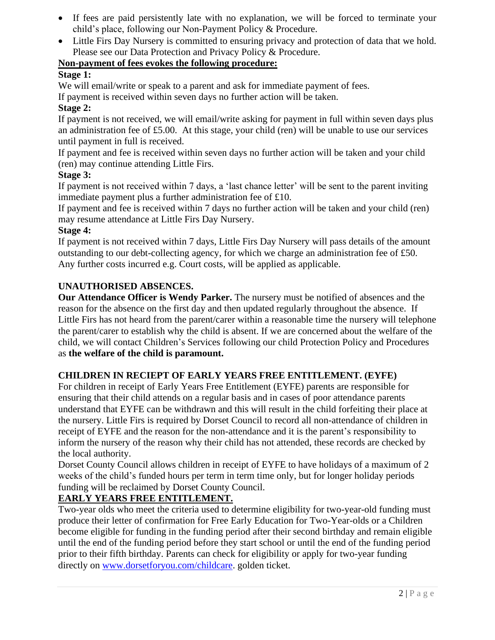- If fees are paid persistently late with no explanation, we will be forced to terminate your child's place, following our Non-Payment Policy & Procedure.
- Little Firs Day Nursery is committed to ensuring privacy and protection of data that we hold. Please see our Data Protection and Privacy Policy & Procedure.

# **Non-payment of fees evokes the following procedure:**

## **Stage 1:**

We will email/write or speak to a parent and ask for immediate payment of fees.

If payment is received within seven days no further action will be taken.

#### **Stage 2:**

If payment is not received, we will email/write asking for payment in full within seven days plus an administration fee of  $£5.00$ . At this stage, your child (ren) will be unable to use our services until payment in full is received.

If payment and fee is received within seven days no further action will be taken and your child (ren) may continue attending Little Firs.

## **Stage 3:**

If payment is not received within 7 days, a 'last chance letter' will be sent to the parent inviting immediate payment plus a further administration fee of £10.

If payment and fee is received within 7 days no further action will be taken and your child (ren) may resume attendance at Little Firs Day Nursery.

#### **Stage 4:**

If payment is not received within 7 days, Little Firs Day Nursery will pass details of the amount outstanding to our debt-collecting agency, for which we charge an administration fee of £50. Any further costs incurred e.g. Court costs, will be applied as applicable.

## **UNAUTHORISED ABSENCES.**

**Our Attendance Officer is Wendy Parker.** The nursery must be notified of absences and the reason for the absence on the first day and then updated regularly throughout the absence. If Little Firs has not heard from the parent/carer within a reasonable time the nursery will telephone the parent/carer to establish why the child is absent. If we are concerned about the welfare of the child, we will contact Children's Services following our child Protection Policy and Procedures as **the welfare of the child is paramount.**

# **CHILDREN IN RECIEPT OF EARLY YEARS FREE ENTITLEMENT. (EYFE)**

For children in receipt of Early Years Free Entitlement (EYFE) parents are responsible for ensuring that their child attends on a regular basis and in cases of poor attendance parents understand that EYFE can be withdrawn and this will result in the child forfeiting their place at the nursery. Little Firs is required by Dorset Council to record all non-attendance of children in receipt of EYFE and the reason for the non-attendance and it is the parent's responsibility to inform the nursery of the reason why their child has not attended, these records are checked by the local authority.

Dorset County Council allows children in receipt of EYFE to have holidays of a maximum of 2 weeks of the child's funded hours per term in term time only, but for longer holiday periods funding will be reclaimed by Dorset County Council.

# **EARLY YEARS FREE ENTITLEMENT.**

Two-year olds who meet the criteria used to determine eligibility for two-year-old funding must produce their letter of confirmation for Free Early Education for Two-Year-olds or a Children become eligible for funding in the funding period after their second birthday and remain eligible until the end of the funding period before they start school or until the end of the funding period prior to their fifth birthday. Parents can check for eligibility or apply for two-year funding directly on [www.dorsetforyou.com/childcare.](http://www.dorsetforyou.com/childcare) golden ticket.